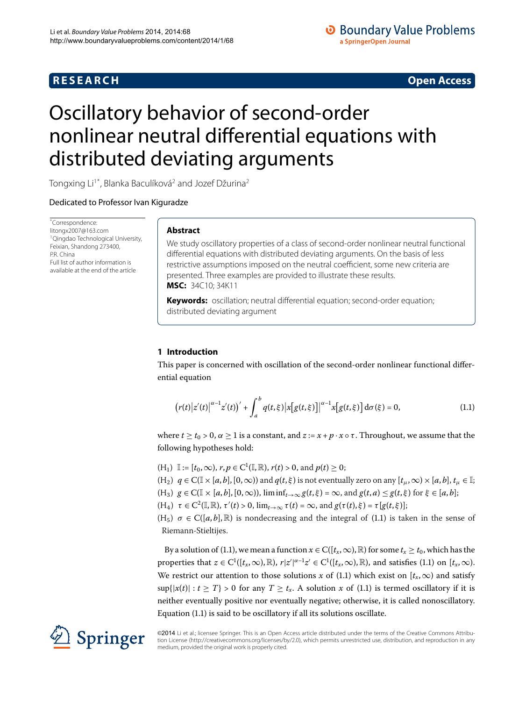# **R E S E A R C H Open Access**

# **O** Boundary Value Problems a SpringerOpen Journal

# <span id="page-0-0"></span>Oscillatory behavior of second-order nonlinear neutral differential equations with distributed deviating arguments

Tongxing Li<sup>1[\\*](#page-0-0)</sup>, Blanka Baculíková<sup>[2](#page-13-1)</sup> and Jozef Džurina<sup>2</sup>

Dedicated to Professor Ivan Kiguradze

\* Correspondence: [litongx2007@163.com](mailto:litongx2007@163.com) 1Qingdao Technological University, Feixian, Shandong 273400, P.R. China Full list of author information is available at the end of the article

# **Abstract**

We study oscillatory properties of a class of second-order nonlinear neutral functional differential equations with distributed deviating arguments. On the basis of less restrictive assumptions imposed on the neutral coefficient, some new criteria are presented. Three examples are provided to illustrate these results. **MSC:** 34C10; 34K11

<span id="page-0-1"></span>**Keywords:** oscillation; neutral differential equation; second-order equation; distributed deviating argument

## **1 Introduction**

This paper is concerned with oscillation of the second-order nonlinear functional differential equation

$$
(r(t)|z'(t)|^{\alpha-1}z'(t))' + \int_a^b q(t,\xi)|x[g(t,\xi)]|^{\alpha-1}x[g(t,\xi)]d\sigma(\xi) = 0,
$$
\n(1.1)

where  $t \ge t_0 > 0$ ,  $\alpha \ge 1$  is a constant, and  $z := x + p \cdot x \circ \tau$ . Throughout, we assume that the following hypotheses hold:

- $(H_1) \mathbb{I} := [t_0, \infty), r, p \in C^1(\mathbb{I}, \mathbb{R}), r(t) > 0, \text{ and } p(t) \ge 0;$
- $(H_2)$   $q \in C(\mathbb{I} \times [a, b], [0, \infty))$  and  $q(t, \xi)$  is not eventually zero on any  $[t_\mu, \infty) \times [a, b], t_\mu \in \mathbb{I};$
- $(G, B)$   $g \in C(\mathbb{I} \times [a, b], [0, \infty))$ ,  $\liminf_{t \to \infty} g(t, \xi) = \infty$ , and  $g(t, a) \leq g(t, \xi)$  for  $\xi \in [a, b]$ ;
- $(\mathbb{H}_4)$   $\tau \in \mathbb{C}^2(\mathbb{I}, \mathbb{R}), \tau'(t) > 0$ ,  $\lim_{t \to \infty} \tau(t) = \infty$ , and  $g(\tau(t), \xi) = \tau[g(t, \xi)];$
- $(H<sub>5</sub>)$   $\sigma \in C([a, b], \mathbb{R})$  is nondecreasing and the integral of (1.1) is taken in the sense of Riemann-Stieltijes.

By a solution of (1[.](#page-0-1)1), we mean a function  $x \in C([t_x,\infty),\mathbb{R})$  for some  $t_x \geq t_0$ , which has the properties that  $z \in C^1([t_x,\infty),\mathbb{R})$ ,  $r|z'|^{\alpha-1}z' \in C^1([t_x,\infty),\mathbb{R})$ , and satisfies (1.1) on  $[t_x,\infty)$ . We restrict our attention to those solutions *x* of (1.1) which exist on  $[t_x, \infty)$  and satisfy  $\sup\{|x(t)| : t \geq T\} > 0$  for any  $T \geq t_x$ . A solution x of (1.1) is termed oscillatory if it is neither eventually positive nor eventually negative; otherwise, it is called nonoscillatory. Equation  $(1.1)$  $(1.1)$  $(1.1)$  is said to be oscillatory if all its solutions oscillate.

©2014 Li et al.; licensee Springer. This is an Open Access article distributed under the terms of the Creative Commons Attribution License ([http://creativecommons.org/licenses/by/2.0\)](http://creativecommons.org/licenses/by/2.0), which permits unrestricted use, distribution, and reproduction in any medium, provided the original work is properly cited.

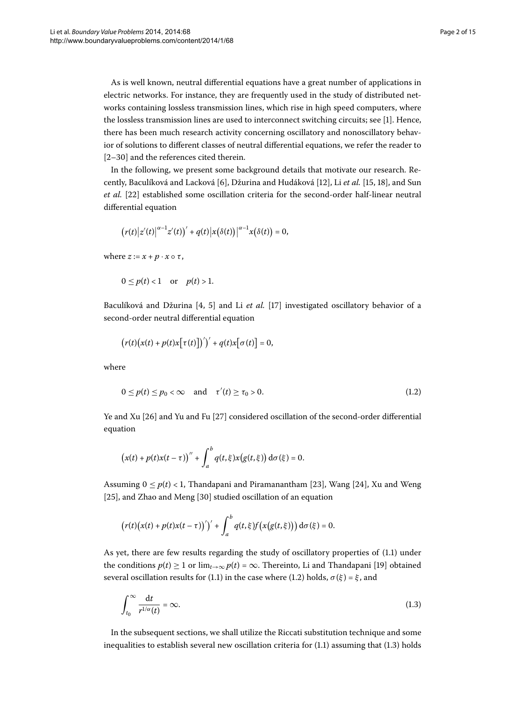As is well known, neutral differential equations have a great number of applications in electric networks. For instance, they are frequently used in the study of distributed networks containing lossless transmission lines, which rise in high speed computers, where the lossless transmission lines are used to interconnect switching circuits; see []. Hence, there has been much research activity concerning oscillatory and nonoscillatory behavior of solutions to different classes of neutral differential equations, we refer the reader to  $[2-30]$  and the references cited therein.

In the following, we present some background details that motivate our research. Re-cently, Baculíková and Lacková [6[\]](#page-14-2), Džurina and Hudáková [\[](#page-14-3)12], Li et al. [15, 18], and Sun et al. [22] established some oscillation criteria for the second-order half-linear neutral differential equation

$$
(r(t)|z'(t)|^{\alpha-1}z'(t))'+q(t)|x(\delta(t))|^{\alpha-1}x(\delta(t))=0,
$$

where  $z := x + p \cdot x \circ \tau$ ,

 $0 \le p(t) < 1$  or  $p(t) > 1$ .

Baculíková and Džurina [4, 5] and Li *et al.* [17] investigated oscillatory behavior of a second-order neutral differential equation

<span id="page-1-0"></span>
$$
(r(t)(x(t)+p(t)x[\tau(t)])')'+q(t)x[\sigma(t)]=0,
$$

where

$$
0 \le p(t) \le p_0 < \infty \quad \text{and} \quad \tau'(t) \ge \tau_0 > 0. \tag{1.2}
$$

Ye and Xu  $[26]$  $[26]$  and Yu and Fu  $[27]$  considered oscillation of the second-order differential equation

$$
(x(t) + p(t)x(t-\tau))'' + \int_a^b q(t,\xi)x(g(t,\xi)) d\sigma(\xi) = 0.
$$

Assuming  $0 \le p(t) < 1$ , Thandapani and Piramanantham [\[](#page-14-11)23], Wang [24], Xu and Weng [25[\]](#page-14-13), and Zhao and Meng [30] studied oscillation of an equation

<span id="page-1-1"></span>
$$
(r(t)(x(t)+p(t)x(t-\tau))')' + \int_a^b q(t,\xi)f(x(g(t,\xi))) d\sigma(\xi) = 0.
$$

As yet, there are few results regarding the study of oscillatory properties of  $(1.1)$  under the conditions  $p(t) \ge 1$  or  $\lim_{t\to\infty} p(t) = \infty$ . Thereinto, Li and Thandapani [\[](#page-14-14)19] obtained several oscillation results for (1[.](#page-0-1)1) in the case where (1.2) holds,  $\sigma(\xi) = \xi$ , and

$$
\int_{t_0}^{\infty} \frac{\mathrm{d}t}{r^{1/\alpha}(t)} = \infty. \tag{1.3}
$$

In the subsequent sections, we shall utilize the Riccati substitution technique and some inequalities to establish several new oscillation criteria for  $(1.1)$  assuming that  $(1.3)$  holds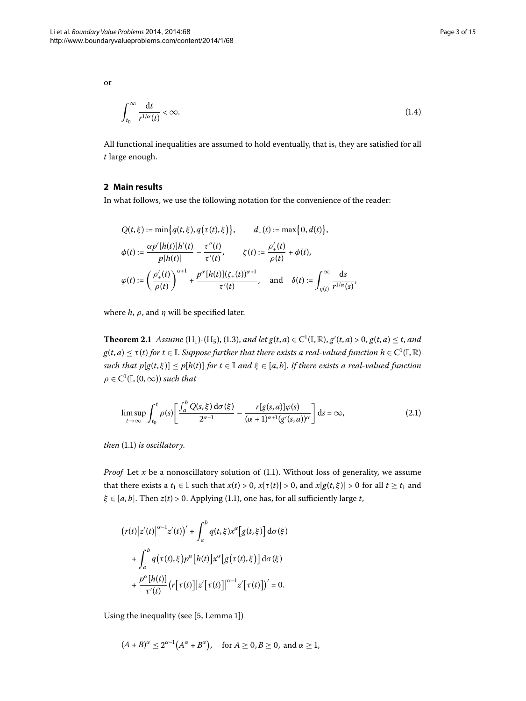or

<span id="page-2-2"></span>
$$
\int_{t_0}^{\infty} \frac{\mathrm{d}t}{r^{1/\alpha}(t)} < \infty. \tag{1.4}
$$

All functional inequalities are assumed to hold eventually, that is, they are satisfied for all *t* large enough.

## **2 Main results**

In what follows, we use the following notation for the convenience of the reader:

<span id="page-2-1"></span>
$$
Q(t,\xi) := \min\{q(t,\xi), q(\tau(t),\xi)\}, \qquad d_+(t) := \max\{0, d(t)\},
$$
  

$$
\phi(t) := \frac{\alpha p'[h(t)]h'(t)}{p[h(t)]} - \frac{\tau''(t)}{\tau'(t)}, \qquad \zeta(t) := \frac{\rho'_+(t)}{\rho(t)} + \phi(t),
$$
  

$$
\varphi(t) := \left(\frac{\rho'_+(t)}{\rho(t)}\right)^{\alpha+1} + \frac{p^{\alpha}[h(t)](\zeta_+(t))^{\alpha+1}}{\tau'(t)}, \quad \text{and} \quad \delta(t) := \int_{\eta(t)}^{\infty} \frac{\mathrm{d}s}{r^{1/\alpha}(s)},
$$

where  $h$ ,  $\rho$ , and  $\eta$  will be specified later.

**Theorem 2.1** Assume (H<sub>1</sub>)-(H<sub>5</sub>), (1.3), and let  $g(t, a) \in C^1(\mathbb{I}, \mathbb{R})$ ,  $g'(t, a) > 0$ ,  $g(t, a) \le t$ , and  $g(t,a) \leq \tau(t)$  for  $t \in \mathbb{I}$ . Suppose further that there exists a real-valued function  $h \in C^1(\mathbb{I},\mathbb{R})$ *such that*  $p[g(t, \xi)] \leq p[h(t)]$  *for*  $t \in \mathbb{I}$  *and*  $\xi \in [a, b]$ . *If there exists a real-valued function*  $\rho \in C^1(\mathbb{I}, (0, \infty))$  *such that* 

<span id="page-2-0"></span>
$$
\limsup_{t \to \infty} \int_{t_0}^t \rho(s) \left[ \frac{\int_a^b Q(s,\xi) \, d\sigma(\xi)}{2^{\alpha - 1}} - \frac{r[g(s,a)]\varphi(s)}{(\alpha + 1)^{\alpha + 1}(g'(s,a))^\alpha} \right] ds = \infty, \tag{2.1}
$$

*then* (1[.](#page-0-1)1) *is oscillatory*.

*Proof* Let  $x$  be a nonoscillatory solution of  $(1.1)$  $(1.1)$  $(1.1)$ . Without loss of generality, we assume that there exists a  $t_1 \in \mathbb{I}$  such that  $x(t) > 0$ ,  $x[\tau(t)] > 0$ , and  $x[g(t, \xi)] > 0$  for all  $t \ge t_1$  and  $\xi \in [a, b]$ [.](#page-0-1) Then  $z(t) > 0$ . Applying (1.1), one has, for all sufficiently large *t*,

$$
(r(t)|z'(t)|^{\alpha-1}z'(t))' + \int_a^b q(t,\xi)x^{\alpha}[g(t,\xi)] d\sigma(\xi)
$$

$$
+ \int_a^b q(\tau(t),\xi)p^{\alpha}[h(t)]x^{\alpha}[g(\tau(t),\xi)] d\sigma(\xi)
$$

$$
+ \frac{p^{\alpha}[h(t)]}{\tau'(t)}(r[\tau(t)]|z'[\tau(t)]|^{\alpha-1}z'[\tau(t)])' = 0.
$$

Using the inequality (see [5, Lemma 1])

$$
(A + B)^{\alpha} \le 2^{\alpha - 1} (A^{\alpha} + B^{\alpha}), \quad \text{for } A \ge 0, B \ge 0, \text{ and } \alpha \ge 1,
$$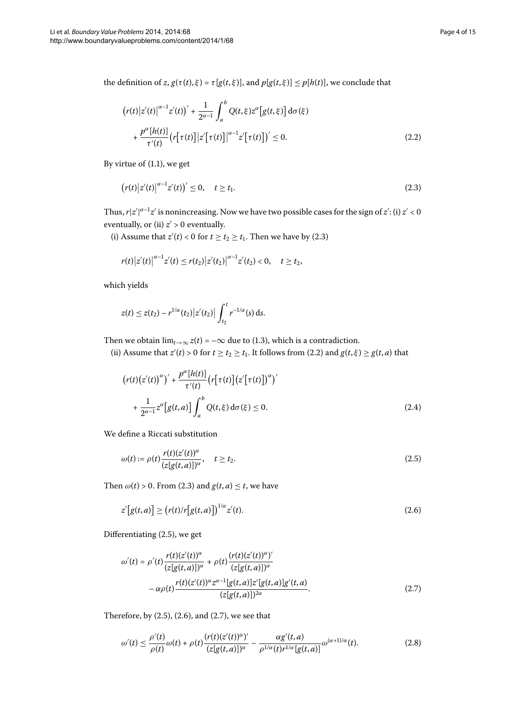the definition of *z*,  $g(\tau(t), \xi) = \tau[g(t, \xi)]$ , and  $p[g(t, \xi)] \leq p[h(t)]$ , we conclude that

<span id="page-3-1"></span><span id="page-3-0"></span>
$$
\left(r(t)|z'(t)|^{\alpha-1}z'(t)\right)' + \frac{1}{2^{\alpha-1}}\int_a^b Q(t,\xi)z^{\alpha}[g(t,\xi)]d\sigma(\xi)
$$

$$
+ \frac{p^{\alpha}[h(t)]}{\tau'(t)}\left(r[\tau(t)]|z'[\tau(t)]\right)^{\alpha-1}z'[\tau(t)]' \le 0.
$$
\n(2.2)

By virtue of  $(1.1)$  $(1.1)$  $(1.1)$ , we get

$$
(r(t)|z'(t)|^{\alpha-1}z'(t))' \le 0, \quad t \ge t_1.
$$
\n(2.3)

Thus,  $r|z'|^{\alpha-1}z'$  is nonincreasing. Now we have two possible cases for the sign of  $z'$ : (i)  $z' < 0$ eventually, or (ii)  $z^\prime$  > 0 eventually.

(i) Assume that  $z'(t) < 0$  for  $t \ge t_2 \ge t_1$ . Then we have by (2.3)

$$
r(t)|z'(t)|^{\alpha-1}z'(t)\leq r(t_2)|z'(t_2)|^{\alpha-1}z'(t_2)<0,\quad t\geq t_2,
$$

which yields

<span id="page-3-6"></span>
$$
z(t) \leq z(t_2) - r^{1/\alpha}(t_2) |z'(t_2)| \int_{t_2}^t r^{-1/\alpha}(s) \, ds.
$$

Then we obtain  $\lim_{t\to\infty} z(t) = -\infty$  due to (1[.](#page-1-1)3), which is a contradiction.

(ii) Assume that  $z'(t) > 0$  for  $t \ge t_2 \ge t_1$ [.](#page-3-1) It follows from (2.2) and  $g(t, \xi) \ge g(t, a)$  that

<span id="page-3-2"></span>
$$
\left(r(t)\left(z'(t)\right)^{\alpha}\right)' + \frac{p^{\alpha}[h(t)]}{\tau'(t)}\left(r\left[\tau(t)\right]\left(z'\left[\tau(t)\right]\right)^{\alpha}\right)'
$$
  
+ 
$$
\frac{1}{2^{\alpha-1}}z^{\alpha}\left[g(t,a)\right]\int_{a}^{b}Q(t,\xi)\,d\sigma(\xi) \le 0.
$$
 (2.4)

We define a Riccati substitution

<span id="page-3-3"></span>
$$
\omega(t) := \rho(t) \frac{r(t)(z'(t))^{\alpha}}{(z[g(t,a)])^{\alpha}}, \quad t \ge t_2.
$$
\n(2.5)

<span id="page-3-4"></span>Then  $\omega(t) > 0$ [.](#page-3-0) From (2.3) and  $g(t, a) \leq t$ , we have

$$
z'[g(t,a)] \ge (r(t)/r[g(t,a)])^{1/\alpha} z'(t). \tag{2.6}
$$

Differentiating  $(2.5)$ , we get

<span id="page-3-5"></span>
$$
\omega'(t) = \rho'(t) \frac{r(t)(z'(t))^{\alpha}}{(z[g(t,a)])^{\alpha}} + \rho(t) \frac{(r(t)(z'(t))^{\alpha})'}{(z[g(t,a)])^{\alpha}} -\alpha \rho(t) \frac{r(t)(z'(t))^{\alpha} z^{\alpha-1}[g(t,a)]z'[g(t,a)]g'(t,a)}{(z[g(t,a)])^{2\alpha}}.
$$
\n(2.7)

Therefore, by  $(2.5)$  $(2.5)$  $(2.5)$ ,  $(2.6)$ , and  $(2.7)$ , we see that

$$
\omega'(t) \leq \frac{\rho'(t)}{\rho(t)} \omega(t) + \rho(t) \frac{(r(t)(z'(t))^{\alpha})'}{(z[g(t,a)])^{\alpha}} - \frac{\alpha g'(t,a)}{\rho^{1/\alpha}(t)r^{1/\alpha}[g(t,a)]} \omega^{(\alpha+1)/\alpha}(t). \tag{2.8}
$$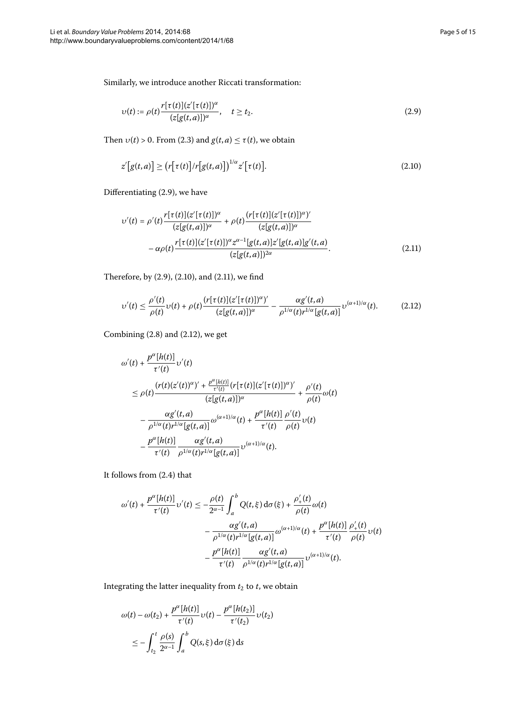Similarly, we introduce another Riccati transformation:

<span id="page-4-1"></span><span id="page-4-0"></span>
$$
\upsilon(t) := \rho(t) \frac{r[\tau(t)](z'[\tau(t)])^{\alpha}}{(z[g(t,a)])^{\alpha}}, \quad t \ge t_2.
$$
\n(2.9)

<span id="page-4-2"></span>Then  $v(t) > 0$ . From (2.3) and  $g(t, a) \le \tau(t)$ , we obtain

$$
z'[g(t,a)] \ge (r[\tau(t)]/r[g(t,a)])^{1/\alpha} z'[\tau(t)].
$$
\n(2.10)

Differentiating  $(2.9)$  $(2.9)$  $(2.9)$ , we have

<span id="page-4-3"></span>
$$
v'(t) = \rho'(t) \frac{r[\tau(t)](z'[\tau(t)])^{\alpha}}{(z[g(t,a)])^{\alpha}} + \rho(t) \frac{(r[\tau(t)](z'[\tau(t)])^{\alpha})'}{(z[g(t,a)])^{\alpha}} -\alpha \rho(t) \frac{r[\tau(t)](z'[\tau(t)])^{\alpha}z^{\alpha-1}[g(t,a)]z'[g(t,a)]g'(t,a)}{(z[g(t,a)])^{2\alpha}}.
$$
\n(2.11)

Therefore, by  $(2.9)$  $(2.9)$  $(2.9)$ ,  $(2.10)$ , and  $(2.11)$ , we find

$$
\upsilon'(t) \leq \frac{\rho'(t)}{\rho(t)} \upsilon(t) + \rho(t) \frac{(r[\tau(t)](z'[\tau(t)])^{\alpha} \gamma}{(z[g(t,a)])^{\alpha}} - \frac{\alpha g'(t,a)}{\rho^{1/\alpha}(t) r^{1/\alpha}[g(t,a)]} \upsilon^{(\alpha+1)/\alpha}(t). \tag{2.12}
$$

Combining  $(2.8)$  and  $(2.12)$ , we get

$$
\omega'(t) + \frac{p^{\alpha}[h(t)]}{\tau'(t)} \upsilon'(t)
$$
\n
$$
\leq \rho(t) \frac{(r(t)(z'(t))^{\alpha})' + \frac{p^{\alpha}[h(t)]}{\tau'(t)} (r[\tau(t)](z'[\tau(t)])^{\alpha})'}{(z[g(t,a)])^{\alpha}} + \frac{\rho'(t)}{\rho(t)} \omega(t)
$$
\n
$$
- \frac{\alpha g'(t,a)}{\rho^{1/\alpha}(t)r^{1/\alpha}[g(t,a)]} \omega^{(\alpha+1)/\alpha}(t) + \frac{p^{\alpha}[h(t)]}{\tau'(t)} \frac{\rho'(t)}{\rho(t)} \upsilon(t)
$$
\n
$$
- \frac{p^{\alpha}[h(t)]}{\tau'(t)} \frac{\alpha g'(t,a)}{\rho^{1/\alpha}(t)r^{1/\alpha}[g(t,a)]} \upsilon^{(\alpha+1)/\alpha}(t).
$$

It follows from  $(2.4)$  that

$$
\omega'(t) + \frac{p^{\alpha}[h(t)]}{\tau'(t)} \upsilon'(t) \le -\frac{\rho(t)}{2^{\alpha-1}} \int_a^b Q(t,\xi) d\sigma(\xi) + \frac{\rho'_+(t)}{\rho(t)} \omega(t)
$$

$$
- \frac{\alpha g'(t,a)}{\rho^{1/\alpha}(t) r^{1/\alpha}[g(t,a)]} \omega^{(\alpha+1)/\alpha}(t) + \frac{p^{\alpha}[h(t)]}{\tau'(t)} \frac{\rho'_+(t)}{\rho(t)} \upsilon(t)
$$

$$
- \frac{p^{\alpha}[h(t)]}{\tau'(t)} \frac{\alpha g'(t,a)}{\rho^{1/\alpha}(t) r^{1/\alpha}[g(t,a)]} \upsilon^{(\alpha+1)/\alpha}(t).
$$

Integrating the latter inequality from  $t_2$  to  $t$ , we obtain

$$
\omega(t) - \omega(t_2) + \frac{p^{\alpha}[h(t)]}{\tau'(t)} \upsilon(t) - \frac{p^{\alpha}[h(t_2)]}{\tau'(t_2)} \upsilon(t_2)
$$
  

$$
\leq -\int_{t_2}^t \frac{\rho(s)}{2^{\alpha-1}} \int_a^b Q(s,\xi) d\sigma(\xi) ds
$$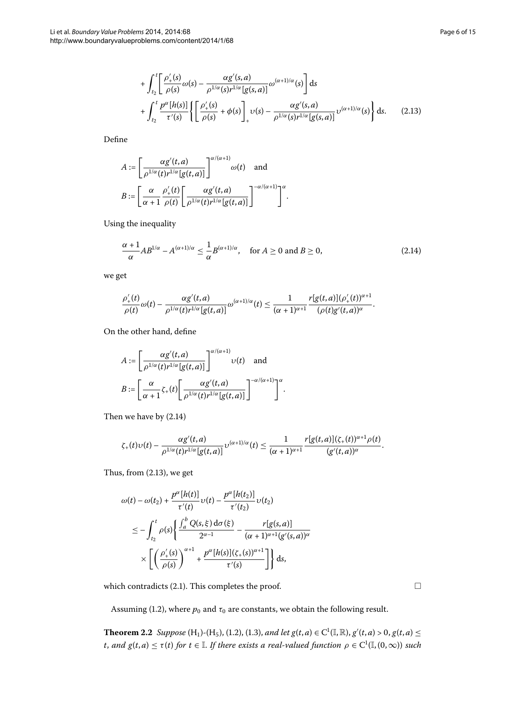$$
+\int_{t_2}^t \left[\frac{\rho'_+(s)}{\rho(s)}\omega(s) - \frac{\alpha g'(s,a)}{\rho^{1/\alpha}(s)r^{1/\alpha}[g(s,a)]}\omega^{(\alpha+1)/\alpha}(s)\right]ds
$$
  
+ 
$$
\int_{t_2}^t \frac{p^\alpha[h(s)]}{\tau'(s)} \left\{ \left[\frac{\rho'_+(s)}{\rho(s)} + \phi(s)\right]_{+} \nu(s) - \frac{\alpha g'(s,a)}{\rho^{1/\alpha}(s)r^{1/\alpha}[g(s,a)]}\nu^{(\alpha+1)/\alpha}(s) \right\} ds.
$$
 (2.13)

Define

$$
A := \left[\frac{\alpha g'(t, a)}{\rho^{1/\alpha}(t)r^{1/\alpha}[g(t, a)]}\right]^{\alpha/(\alpha+1)} \omega(t) \text{ and}
$$

$$
B := \left[\frac{\alpha}{\alpha+1} \frac{\rho'_+(t)}{\rho(t)} \left[\frac{\alpha g'(t, a)}{\rho^{1/\alpha}(t)r^{1/\alpha}[g(t, a)]}\right]^{-\alpha/(\alpha+1)}\right]^{\alpha}
$$

Using the inequality

$$
\frac{\alpha+1}{\alpha}AB^{1/\alpha} - A^{(\alpha+1)/\alpha} \le \frac{1}{\alpha}B^{(\alpha+1)/\alpha}, \quad \text{for } A \ge 0 \text{ and } B \ge 0,
$$
 (2.14)

.

<span id="page-5-1"></span><span id="page-5-0"></span>.

we get

$$
\frac{\rho'_+(t)}{\rho(t)}\omega(t)-\frac{\alpha g'(t,a)}{\rho^{1/\alpha}(t)r^{1/\alpha}[g(t,a)]}\omega^{(\alpha+1)/\alpha}(t)\leq \frac{1}{(\alpha+1)^{\alpha+1}}\frac{r[g(t,a)](\rho'_+(t))^{\alpha+1}}{(\rho(t)g'(t,a))^{\alpha}}.
$$

On the other hand, define

$$
A := \left[\frac{\alpha g'(t, a)}{\rho^{1/\alpha}(t) r^{1/\alpha} [g(t, a)]}\right]^{\alpha/(\alpha+1)} \upsilon(t) \quad \text{and}
$$

$$
B := \left[\frac{\alpha}{\alpha+1} \zeta_+(t) \left[\frac{\alpha g'(t, a)}{\rho^{1/\alpha}(t) r^{1/\alpha} [g(t, a)]}\right]^{-\alpha/(\alpha+1)}\right]^{\alpha}
$$

Then we have by  $(2.14)$ 

$$
\zeta_+(t)\upsilon(t)-\frac{\alpha g'(t,a)}{\rho^{1/\alpha}(t)r^{1/\alpha}[g(t,a)]}\upsilon^{(\alpha+1)/\alpha}(t)\leq \frac{1}{(\alpha+1)^{\alpha+1}}\frac{r[g(t,a)](\zeta_+(t))^{\alpha+1}\rho(t)}{(g'(t,a))^\alpha}.
$$

Thus, from  $(2.13)$  $(2.13)$  $(2.13)$ , we get

$$
\omega(t) - \omega(t_2) + \frac{p^{\alpha}[h(t)]}{\tau'(t)} \upsilon(t) - \frac{p^{\alpha}[h(t_2)]}{\tau'(t_2)} \upsilon(t_2)
$$
  

$$
\leq -\int_{t_2}^t \rho(s) \left\{ \frac{\int_a^b Q(s,\xi) d\sigma(\xi)}{2^{\alpha-1}} - \frac{r[g(s,a)]}{(\alpha+1)^{\alpha+1} [g'(s,a)]^{\alpha}} \right\}
$$
  

$$
\times \left[ \left( \frac{\rho'_+(s)}{\rho(s)} \right)^{\alpha+1} + \frac{p^{\alpha}[h(s)](\zeta_+(s))^{\alpha+1}}{\tau'(s)} \right] ds,
$$

<span id="page-5-2"></span>which contradicts  $(2.1)$  $(2.1)$  $(2.1)$ . This completes the proof.

Assuming (1[.](#page-1-0)2), where  $p_0$  and  $\tau_0$  are constants, we obtain the following result.

**Theorem 2.2** Suppose  $(H_1)$ - $(H_5)$ ,  $(1.2)$ ,  $(1.3)$ , and let  $g(t, a) \in C^1(\mathbb{I}, \mathbb{R})$ ,  $g'(t, a) > 0$ ,  $g(t, a) \leq$ *t*, and  $g(t, a) \leq \tau(t)$  for  $t \in \mathbb{I}$ . If there exists a real-valued function  $\rho \in C^1(\mathbb{I}, (0, \infty))$  such

 $\Box$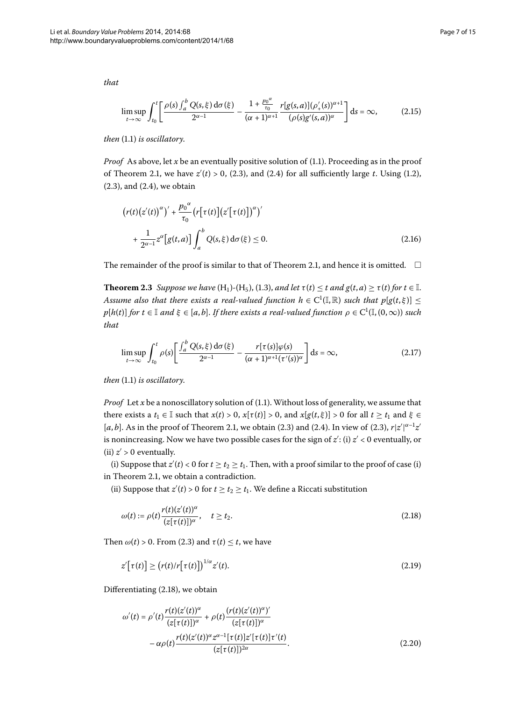<span id="page-6-6"></span>
$$
\limsup_{t \to \infty} \int_{t_0}^t \left[ \frac{\rho(s) \int_a^b Q(s,\xi) \, d\sigma(\xi)}{2^{\alpha - 1}} - \frac{1 + \frac{p_0^{\alpha}}{\tau_0}}{(\alpha + 1)^{\alpha + 1}} \frac{r[g(s,a)] (\rho'_+(s))^{\alpha + 1}}{(\rho(s)g'(s,a))^{\alpha}} \right] ds = \infty, \tag{2.15}
$$

*then* (1[.](#page-0-1)1) *is oscillatory*.

*Proof* As above, let *x* be an eventually positive solution of (1[.](#page-0-1)1). Proceeding as in the proof of Theorem 2.1, we have  $z'(t) > 0$ , (2.3), and (2.4) for all sufficiently large *t*. Using (1.2),  $(2.3)$ , and  $(2.4)$ , we obtain

<span id="page-6-5"></span><span id="page-6-4"></span><span id="page-6-3"></span>
$$
\left(r(t)\left(z'(t)\right)^{\alpha}\right)' + \frac{p_0^{\alpha}}{\tau_0} \left(r\left[\tau(t)\right]\left(z'\left[\tau(t)\right]\right)^{\alpha}\right)'
$$
  
+ 
$$
\frac{1}{2^{\alpha-1}} z^{\alpha} \left[g(t,a)\right] \int_a^b Q(s,\xi) d\sigma(\xi) \le 0.
$$
 (2.16)

The remainder of the proof is similar to that of Theorem 2.1, and hence it is omitted.  $\;\;\Box$ 

**Theorem 2.3** Suppose we have  $(H_1)$ - $(H_5)$ , (1.3), and let  $\tau(t) \leq t$  and  $g(t, a) \geq \tau(t)$  for  $t \in \mathbb{I}$ . Assume also that there exists a real-valued function  $h \in C^1(\mathbb{I}, \mathbb{R})$  such that  $p[g(t, \xi)] \leq 1$  $p[h(t)]$  *for*  $t \in \mathbb{I}$  *and*  $\xi \in [a, b]$ . If there exists a real-valued function  $\rho \in C^1(\mathbb{I}, (0, \infty))$  such *that*

$$
\limsup_{t \to \infty} \int_{t_0}^t \rho(s) \left[ \frac{\int_a^b Q(s,\xi) \, d\sigma(\xi)}{2^{\alpha - 1}} - \frac{r[\tau(s)] \varphi(s)}{(\alpha + 1)^{\alpha + 1} (\tau'(s))^\alpha} \right] ds = \infty, \tag{2.17}
$$

*then* (1[.](#page-0-1)1) *is oscillatory*.

*Proof* Let  $x$  be a nonoscillatory solution of (1.1). Without loss of generality, we assume that there exists a  $t_1 \in \mathbb{I}$  such that  $x(t) > 0$ ,  $x[\tau(t)] > 0$ , and  $x[g(t, \xi)] > 0$  for all  $t \ge t_1$  and  $\xi \in$ [ $a$ , $b$ ][.](#page-3-6) As in the proof of Theorem 2.1, we obtain (2.3) and (2.4). In view of (2.3),  $r|z'|^{\alpha-1}z'$ is nonincreasing. Now we have two possible cases for the sign of  $z'$ : (i)  $z' < 0$  eventually, or (ii)  $z'$  > 0 eventually.

(i) Suppose that  $z'(t) < 0$  for  $t \ge t_2 \ge t_1$ . Then, with a proof similar to the proof of case (i) in Theorem 2[.](#page-2-1)1, we obtain a contradiction.

(ii) Suppose that  $z'(t) > 0$  for  $t \ge t_2 \ge t_1$ . We define a Riccati substitution

<span id="page-6-1"></span><span id="page-6-0"></span>
$$
\omega(t) := \rho(t) \frac{r(t)(z'(t))^{\alpha}}{(z[\tau(t)])^{\alpha}}, \quad t \ge t_2.
$$
\n(2.18)

Then  $\omega(t) > 0$ [.](#page-3-0) From (2.3) and  $\tau(t) \leq t$ , we have

<span id="page-6-2"></span>
$$
z'\big[\tau(t)\big] \ge \big(r(t)/r\big[\tau(t)\big]\big)^{1/\alpha} z'(t). \tag{2.19}
$$

Differentiating  $(2.18)$ , we obtain

$$
\omega'(t) = \rho'(t) \frac{r(t)(z'(t))^{\alpha}}{(z[\tau(t)])^{\alpha}} + \rho(t) \frac{(r(t)(z'(t))^{\alpha})'}{(z[\tau(t)])^{\alpha}} -\alpha \rho(t) \frac{r(t)(z'(t))^{\alpha} z^{\alpha-1}[\tau(t)] z'[\tau(t)] \tau'(t)}{(z[\tau(t)])^{2\alpha}}.
$$
\n(2.20)

*that*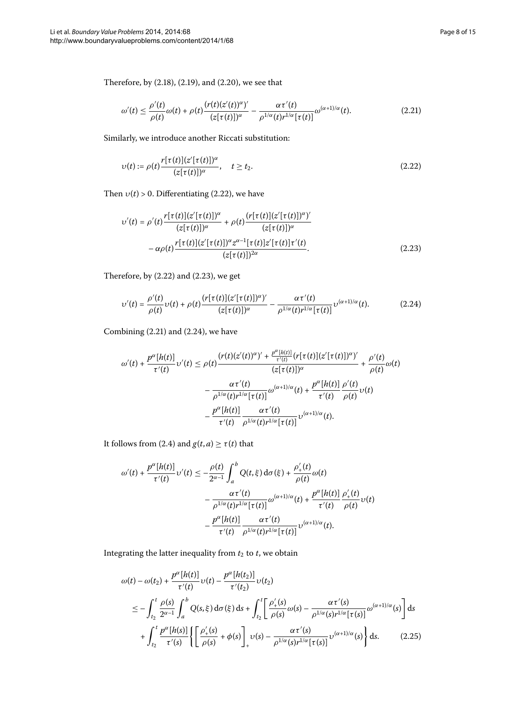Therefore, by  $(2.18)$  $(2.18)$  $(2.18)$ ,  $(2.19)$ , and  $(2.20)$ , we see that

<span id="page-7-2"></span><span id="page-7-0"></span>
$$
\omega'(t) \leq \frac{\rho'(t)}{\rho(t)} \omega(t) + \rho(t) \frac{(r(t)(z'(t))^{\alpha})'}{(z[\tau(t)])^{\alpha}} - \frac{\alpha \tau'(t)}{\rho^{1/\alpha}(t) r^{1/\alpha} [\tau(t)]} \omega^{(\alpha+1)/\alpha}(t). \tag{2.21}
$$

<span id="page-7-1"></span>Similarly, we introduce another Riccati substitution:

$$
\upsilon(t) := \rho(t) \frac{r[\tau(t)](z'[\tau(t)])^{\alpha}}{(z[\tau(t)])^{\alpha}}, \quad t \ge t_2.
$$
\n(2.22)

Then  $v(t) > 0$ . Differentiating (2.22), we have

<span id="page-7-3"></span>
$$
v'(t) = \rho'(t) \frac{r[\tau(t)](z'[\tau(t)])^{\alpha}}{(z[\tau(t)])^{\alpha}} + \rho(t) \frac{(r[\tau(t)](z'[\tau(t)])^{\alpha}'}{(z[\tau(t)])^{\alpha}} -\alpha \rho(t) \frac{r[\tau(t)](z'[\tau(t)])^{\alpha}z^{\alpha-1}[\tau(t)]z'[\tau(t)]\tau'(t)}{(z[\tau(t)])^{2\alpha}}.
$$
\n(2.23)

Therefore, by  $(2.22)$  $(2.22)$  $(2.22)$  and  $(2.23)$ , we get

$$
\upsilon'(t) = \frac{\rho'(t)}{\rho(t)} \upsilon(t) + \rho(t) \frac{(r[\tau(t)](z'[\tau(t)])^{\alpha})'}{(z[\tau(t)])^{\alpha}} - \frac{\alpha \tau'(t)}{\rho^{1/\alpha}(t)r^{1/\alpha}[\tau(t)]} \upsilon^{(\alpha+1)/\alpha}(t). \tag{2.24}
$$

Combining  $(2.21)$  and  $(2.24)$ , we have

$$
\omega'(t) + \frac{p^{\alpha}[h(t)]}{\tau'(t)} \upsilon'(t) \leq \rho(t) \frac{(r(t)(z'(t))^{\alpha})' + \frac{p^{\alpha}[h(t)]}{\tau'(t)} (r[\tau(t)](z'[\tau(t)])^{\alpha})'}{(z[\tau(t)])^{\alpha}} + \frac{\rho'(t)}{\rho(t)} \omega(t)
$$

$$
- \frac{\alpha \tau'(t)}{\rho^{1/\alpha}(t)r^{1/\alpha}[\tau(t)]} \omega^{(\alpha+1)/\alpha}(t) + \frac{p^{\alpha}[h(t)]}{\tau'(t)} \frac{\rho'(t)}{\rho(t)} \upsilon(t)
$$

$$
- \frac{p^{\alpha}[h(t)]}{\tau'(t)} \frac{\alpha \tau'(t)}{\rho^{1/\alpha}(t)r^{1/\alpha}[\tau(t)]} \upsilon^{(\alpha+1)/\alpha}(t).
$$

It follows from (2.4) and  $g(t, a) \geq \tau(t)$  that

$$
\omega'(t) + \frac{p^{\alpha}[h(t)]}{\tau'(t)} \upsilon'(t) \le -\frac{\rho(t)}{2^{\alpha-1}} \int_a^b Q(t,\xi) d\sigma(\xi) + \frac{\rho'_+(t)}{\rho(t)} \omega(t)
$$

$$
- \frac{\alpha \tau'(t)}{\rho^{1/\alpha}(t) r^{1/\alpha} [\tau(t)]} \omega^{(\alpha+1)/\alpha}(t) + \frac{p^{\alpha}[h(t)]}{\tau'(t)} \frac{\rho'_+(t)}{\rho(t)} \upsilon(t)
$$

$$
- \frac{p^{\alpha}[h(t)]}{\tau'(t)} \frac{\alpha \tau'(t)}{\rho^{1/\alpha}(t) r^{1/\alpha} [\tau(t)]} \upsilon^{(\alpha+1)/\alpha}(t).
$$

Integrating the latter inequality from  $t_2$  to  $t$ , we obtain

<span id="page-7-4"></span>
$$
\omega(t) - \omega(t_2) + \frac{p^{\alpha}[h(t)]}{\tau'(t)} \upsilon(t) - \frac{p^{\alpha}[h(t_2)]}{\tau'(t_2)} \upsilon(t_2)
$$
  
\n
$$
\leq -\int_{t_2}^t \frac{\rho(s)}{2^{\alpha-1}} \int_a^b Q(s,\xi) d\sigma(\xi) ds + \int_{t_2}^t \left[ \frac{\rho'_+(s)}{\rho(s)} \omega(s) - \frac{\alpha \tau'(s)}{\rho^{1/\alpha}(s) r^{1/\alpha} [\tau(s)]} \omega^{(\alpha+1)/\alpha}(s) \right] ds
$$
  
\n
$$
+ \int_{t_2}^t \frac{p^{\alpha}[h(s)]}{\tau'(s)} \left\{ \left[ \frac{\rho'_+(s)}{\rho(s)} + \phi(s) \right]_{+} \upsilon(s) - \frac{\alpha \tau'(s)}{\rho^{1/\alpha}(s) r^{1/\alpha} [\tau(s)]} \upsilon^{(\alpha+1)/\alpha}(s) \right\} ds.
$$
 (2.25)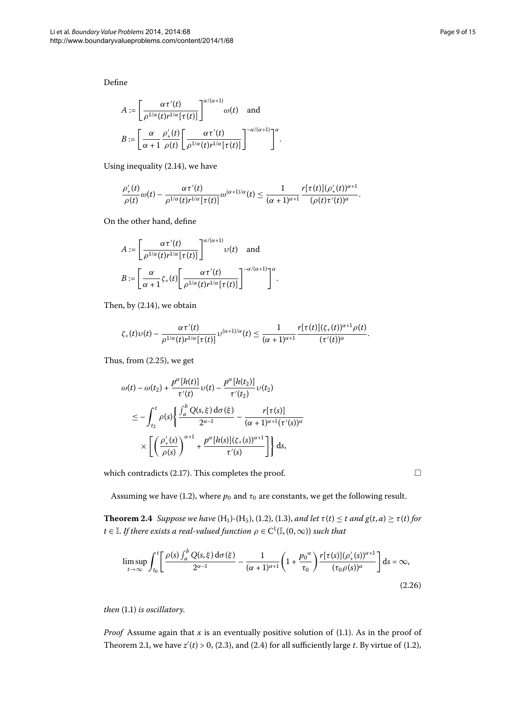Define

$$
A := \left[\frac{\alpha \tau'(t)}{\rho^{1/\alpha}(t) r^{1/\alpha} [\tau(t)]}\right]^{\alpha/(\alpha+1)} \omega(t) \text{ and}
$$

$$
B := \left[\frac{\alpha}{\alpha+1} \frac{\rho'_+(t)}{\rho(t)} \left[\frac{\alpha \tau'(t)}{\rho^{1/\alpha}(t) r^{1/\alpha} [\tau(t)]}\right]^{-\alpha/(\alpha+1)}\right]^{\alpha}
$$

Using inequality  $(2.14)$ , we have

$$
\frac{\rho'_+(t)}{\rho(t)}\omega(t)-\frac{\alpha\tau'(t)}{\rho^{1/\alpha}(t)r^{1/\alpha}[\tau(t)]}\omega^{(\alpha+1)/\alpha}(t)\leq \frac{1}{(\alpha+1)^{\alpha+1}}\frac{r[\tau(t)](\rho'_+(t))^{\alpha+1}}{(\rho(t)\tau'(t))^{\alpha}}.
$$

.

On the other hand, define

$$
A := \left[\frac{\alpha \tau'(t)}{\rho^{1/\alpha}(t) r^{1/\alpha} [\tau(t)]}\right]^{\alpha/(\alpha+1)} \upsilon(t) \text{ and}
$$

$$
B := \left[\frac{\alpha}{\alpha+1} \zeta_+(t) \left[\frac{\alpha \tau'(t)}{\rho^{1/\alpha}(t) r^{1/\alpha} [\tau(t)]}\right]^{\alpha/(\alpha+1)}\right]^{\alpha}.
$$

Then, by  $(2.14)$  $(2.14)$  $(2.14)$ , we obtain

$$
\zeta_+(t)\upsilon(t)-\frac{\alpha\,\tau'(t)}{\rho^{1/\alpha}(t)r^{1/\alpha}[\tau(t)]}\upsilon^{(\alpha+1)/\alpha}(t)\leq \frac{1}{(\alpha+1)^{\alpha+1}}\frac{r[\tau(t)](\zeta_+(t))^{\alpha+1}\rho(t)}{(\tau'(t))^{\alpha}}.
$$

Thus, from  $(2.25)$ , we get

$$
\omega(t) - \omega(t_2) + \frac{p^{\alpha}[h(t)]}{\tau'(t)} \upsilon(t) - \frac{p^{\alpha}[h(t_2)]}{\tau'(t_2)} \upsilon(t_2)
$$
  

$$
\leq -\int_{t_2}^t \rho(s) \left\{ \frac{\int_a^b Q(s, \xi) d\sigma(\xi)}{2^{\alpha-1}} - \frac{r[\tau(s)]}{(\alpha+1)^{\alpha+1}(\tau'(s))^{\alpha}} \right\}
$$
  

$$
\times \left[ \left( \frac{\rho'_+(s)}{\rho(s)} \right)^{\alpha+1} + \frac{p^{\alpha}[h(s)](\zeta_+(s))^{\alpha+1}}{\tau'(s)} \right] \right\} ds,
$$

<span id="page-8-0"></span>which contradicts  $(2.17)$ . This completes the proof.

Assuming we have (1.2), where  $p_0$  and  $\tau_0$  are constants, we get the following result.

**Theorem 2[.](#page-1-1)4** Suppose we have  $(H_1)$ - $(H_5)$ , (1.2), (1.3), and let  $\tau(t) \leq t$  and  $g(t, a) \geq \tau(t)$  for  $t \in \mathbb{I}$ . If there exists a real-valued function  $\rho \in C^1(\mathbb{I}, (0, \infty))$  such that

$$
\limsup_{t \to \infty} \int_{t_0}^t \left[ \frac{\rho(s) \int_a^b Q(s, \xi) d\sigma(\xi)}{2^{\alpha - 1}} - \frac{1}{(\alpha + 1)^{\alpha + 1}} \left( 1 + \frac{p_0^{\alpha}}{\tau_0} \right) \frac{r[\tau(s)] (\rho'_+(s))^{\alpha + 1}}{(\tau_0 \rho(s))^{\alpha}} \right] ds = \infty,
$$
\n(2.26)

*then* (1[.](#page-0-1)1) *is oscillatory*.

*Proof* Assume again that  $x$  is an eventually positive solution of (1.1). As in the proof of Theorem 2[.](#page-3-0)1, we have  $z'(t) > 0$ , (2.3), and (2.4) for all sufficiently large *t*. By virtue of (1.2),

<span id="page-8-1"></span> $\Box$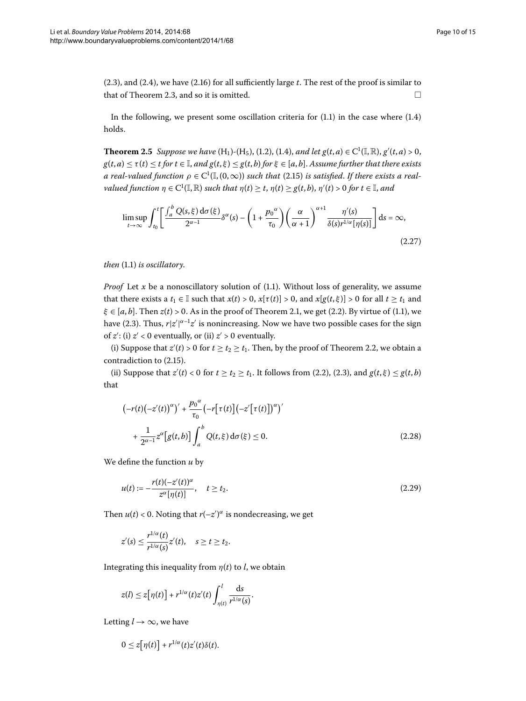<span id="page-9-3"></span> $(2.3)$ , and  $(2.4)$ , we have  $(2.16)$  for all sufficiently large  $t$ . The rest of the proof is similar to that of Theorem 2.3, and so it is omitted.  $\Box$ 

In the following, we present some oscillation criteria for  $(1.1)$  in the case where  $(1.4)$ holds.

**Theorem 2[.](#page-2-2)5** Suppose we have  $(H_1)$ - $(H_5)$ , (1.2), (1.4), and let  $g(t, a) \in C^1(\mathbb{I}, \mathbb{R})$ ,  $g'(t, a) > 0$ ,  $g(t, a) \leq \tau(t) \leq t$  *for*  $t \in \mathbb{I}$ , *and*  $g(t, \xi) \leq g(t, b)$  *for*  $\xi \in [a, b]$ . Assume further that there exists a real-valued function  $\rho \in C^1(\mathbb{I}, (0, \infty))$  such that (2.15) is satisfied. If there exists a real $valued$  function  $\eta \in C^1(\mathbb{I}, \mathbb{R})$  such that  $\eta(t) \geq t$ ,  $\eta(t) \geq g(t, b)$ ,  $\eta'(t) > 0$  for  $t \in \mathbb{I}$ , and

<span id="page-9-2"></span>
$$
\limsup_{t \to \infty} \int_{t_0}^t \left[ \frac{\int_a^b Q(s, \xi) d\sigma(\xi)}{2^{\alpha - 1}} \delta^{\alpha}(s) - \left( 1 + \frac{p_0^{\alpha}}{\tau_0} \right) \left( \frac{\alpha}{\alpha + 1} \right)^{\alpha + 1} \frac{\eta'(s)}{\delta(s) r^{1/\alpha} [\eta(s)]} \right] ds = \infty,
$$
\n(2.27)

*then* (1[.](#page-0-1)1) *is oscillatory*.

*Proof* Let *x* be a nonoscillatory solution of  $(1.1)$  $(1.1)$  $(1.1)$ . Without loss of generality, we assume that there exists a  $t_1 \in \mathbb{I}$  such that  $x(t) > 0$ ,  $x[\tau(t)] > 0$ , and  $x[g(t, \xi)] > 0$  for all  $t \ge t_1$  and  $\xi \in [a, b]$ [.](#page-0-1) Then  $z(t) > 0$ . As in the proof of Theorem 2.1, we get (2.2). By virtue of (1.1), we have (2[.](#page-3-0)3). Thus,  $r|z'|^{\alpha-1}z'$  is nonincreasing. Now we have two possible cases for the sign of *z'*: (i) *z'* < 0 eventually, or (ii) *z'* > 0 eventually.

(i) Suppose that  $z'(t) > 0$  for  $t \ge t_2 \ge t_1$ [.](#page-5-2) Then, by the proof of Theorem 2.2, we obtain a contradiction to  $(2.15)$ .

(ii) Suppose that  $z'(t) < 0$  for  $t \ge t_2 \ge t_1$ . It follows from (2.2), (2.3), and  $g(t, \xi) \le g(t, b)$ that

<span id="page-9-1"></span><span id="page-9-0"></span>
$$
\left(-r(t)\left(-z'(t)\right)^{\alpha}\right)' + \frac{p_0^{\alpha}}{\tau_0} \left(-r\left[\tau(t)\right]\left(-z'\left[\tau(t)\right]\right)^{\alpha}\right)'
$$
  
+ 
$$
\frac{1}{2^{\alpha-1}}z^{\alpha}\left[g(t,b)\right]\int_a^b Q(t,\xi)\,d\sigma(\xi) \le 0.
$$
 (2.28)

We define the function *u* by

$$
u(t) := -\frac{r(t)(-z'(t))^{\alpha}}{z^{\alpha}[\eta(t)]}, \quad t \ge t_2.
$$
 (2.29)

Then  $u(t) < 0$ . Noting that  $r(-z')^{\alpha}$  is nondecreasing, we get

$$
z'(s) \leq \frac{r^{1/\alpha}(t)}{r^{1/\alpha}(s)}z'(t), \quad s \geq t \geq t_2.
$$

Integrating this inequality from  $\eta(t)$  to *l*, we obtain

$$
z(l) \leq z[\eta(t)] + r^{1/\alpha}(t)z'(t)\int_{\eta(t)}^{l} \frac{ds}{r^{1/\alpha}(s)}.
$$

Letting  $l \rightarrow \infty$ , we have

$$
0 \leq z[\eta(t)] + r^{1/\alpha}(t)z'(t)\delta(t).
$$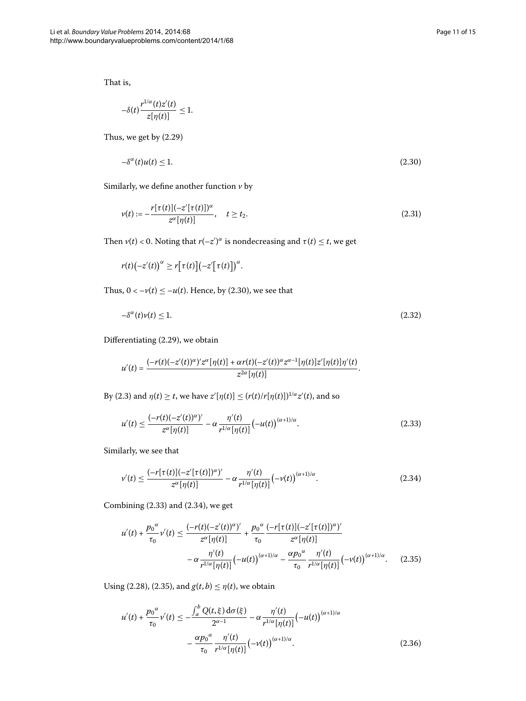That is,

<span id="page-10-0"></span>
$$
-\delta(t)\frac{r^{1/\alpha}(t)z'(t)}{z[\eta(t)]}\leq 1.
$$

Thus, we get by  $(2.29)$  $(2.29)$  $(2.29)$ 

$$
-\delta^{\alpha}(t)u(t) \le 1. \tag{2.30}
$$

Similarly, we define another function *v* by

$$
\nu(t) := -\frac{r[\tau(t)](-z'[\tau(t)])^{\alpha}}{z^{\alpha}[\eta(t)]}, \quad t \ge t_2.
$$
\n(2.31)

Then  $v(t) < 0$ . Noting that  $r(-z')^{\alpha}$  is nondecreasing and  $\tau(t) \leq t$ , we get

<span id="page-10-5"></span> $r(t)(-z'(t))^{\alpha} \ge r[\tau(t)](-z'[\tau(t)])^{\alpha}.$ 

Thus,  $0 < -v(t) \le -u(t)$ . Hence, by (2.30), we see that

<span id="page-10-1"></span>
$$
-\delta^{\alpha}(t)\nu(t) \le 1. \tag{2.32}
$$

Differentiating  $(2.29)$  $(2.29)$  $(2.29)$ , we obtain

$$
u'(t)=\frac{(-r(t)(-z'(t))^{\alpha})'z^{\alpha}[\eta(t)]+\alpha r(t)(-z'(t))^{\alpha}z^{\alpha-1}[\eta(t)]z'[\eta(t)]\eta'(t)}{z^{2\alpha}[\eta(t)]}.
$$

By (2.3) and  $\eta(t) \ge t$ , we have  $z'[\eta(t)] \le (r(t)/r[\eta(t)])^{1/\alpha} z'(t)$ , and so

<span id="page-10-2"></span>
$$
u'(t) \le \frac{(-r(t)(-z'(t))^{\alpha})'}{z^{\alpha}[\eta(t)]} - \alpha \frac{\eta'(t)}{r^{1/\alpha}[\eta(t)]} (-u(t))^{{(\alpha+1)/\alpha}}.
$$
 (2.33)

<span id="page-10-3"></span>Similarly, we see that

$$
\nu'(t) \le \frac{(-r[\tau(t)](-z'[\tau(t)])^{\alpha}}{z^{\alpha}[\eta(t)]} - \alpha \frac{\eta'(t)}{r^{1/\alpha}[\eta(t)]}(-\nu(t))^{\alpha+1/\alpha}.
$$
\n(2.34)

<span id="page-10-4"></span>Combining  $(2.33)$  and  $(2.34)$ , we get

$$
u'(t) + \frac{p_0^{\alpha}}{\tau_0} v'(t) \le \frac{(-r(t)(-z'(t))^{\alpha})'}{z^{\alpha}[\eta(t)]} + \frac{p_0^{\alpha}}{\tau_0} \frac{(-r[\tau(t)](-z'[\tau(t)])^{\alpha})'}{z^{\alpha}[\eta(t)]}
$$

$$
- \alpha \frac{\eta'(t)}{r^{1/\alpha}[\eta(t)]} (-u(t))^{(\alpha+1)/\alpha} - \frac{\alpha p_0^{\alpha}}{\tau_0} \frac{\eta'(t)}{r^{1/\alpha}[\eta(t)]} (-v(t))^{(\alpha+1)/\alpha}.
$$
 (2.35)

Using (2[.](#page-10-3)28), (2.35), and  $g(t, b) \leq \eta(t)$ , we obtain

$$
u'(t) + \frac{p_0^{\alpha}}{\tau_0} v'(t) \le -\frac{\int_a^b Q(t,\xi) d\sigma(\xi)}{2^{\alpha-1}} - \alpha \frac{\eta'(t)}{r^{1/\alpha}[\eta(t)]} (-u(t))^{(\alpha+1)/\alpha} -\frac{\alpha p_0^{\alpha}}{\tau_0} \frac{\eta'(t)}{r^{1/\alpha}[\eta(t)]} (-v(t))^{(\alpha+1)/\alpha}.
$$
 (2.36)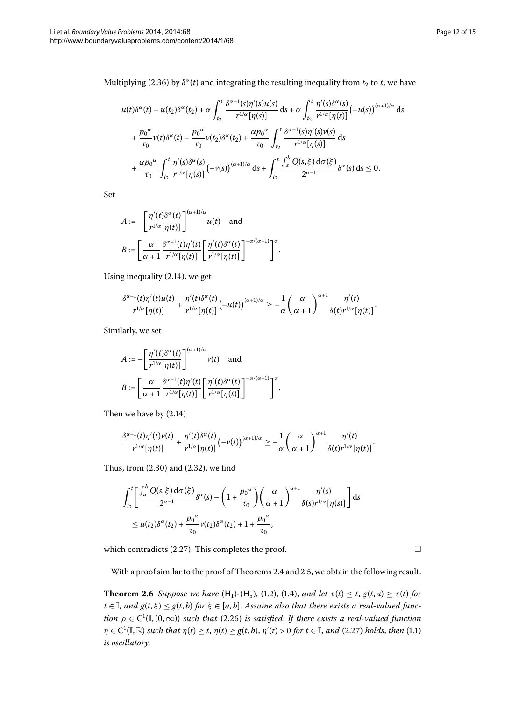Multiplying (2[.](#page-10-4)36) by  $\delta^{\alpha}(t)$  and integrating the resulting inequality from  $t_2$  to  $t$ , we have

$$
u(t)\delta^{\alpha}(t) - u(t_2)\delta^{\alpha}(t_2) + \alpha \int_{t_2}^t \frac{\delta^{\alpha-1}(s)\eta'(s)u(s)}{r^{1/\alpha}[\eta(s)]} ds + \alpha \int_{t_2}^t \frac{\eta'(s)\delta^{\alpha}(s)}{r^{1/\alpha}[\eta(s)]} (-u(s))^{(\alpha+1)/\alpha} ds
$$
  
+ 
$$
\frac{p_0^{\alpha}}{\tau_0} v(t)\delta^{\alpha}(t) - \frac{p_0^{\alpha}}{\tau_0} v(t_2)\delta^{\alpha}(t_2) + \frac{\alpha p_0^{\alpha}}{\tau_0} \int_{t_2}^t \frac{\delta^{\alpha-1}(s)\eta'(s)v(s)}{r^{1/\alpha}[\eta(s)]} ds
$$
  
+ 
$$
\frac{\alpha p_0^{\alpha}}{\tau_0} \int_{t_2}^t \frac{\eta'(s)\delta^{\alpha}(s)}{r^{1/\alpha}[\eta(s)]} (-v(s))^{(\alpha+1)/\alpha} ds + \int_{t_2}^t \frac{\int_a^b Q(s,\xi) d\sigma(\xi)}{2^{\alpha-1}} \delta^{\alpha}(s) ds \le 0.
$$

.

.

Set

$$
A := -\left[\frac{\eta'(t)\delta^{\alpha}(t)}{r^{1/\alpha}[\eta(t)]}\right]^{(\alpha+1)/\alpha} u(t) \text{ and}
$$

$$
B := \left[\frac{\alpha}{\alpha+1} \frac{\delta^{\alpha-1}(t)\eta'(t)}{r^{1/\alpha}[\eta(t)]} \left[\frac{\eta'(t)\delta^{\alpha}(t)}{r^{1/\alpha}[\eta(t)]}\right]^{-\alpha/(\alpha+1)}\right]^{\alpha}
$$

Using inequality  $(2.14)$ , we get

$$
\frac{\delta^{\alpha-1}(t)\eta'(t)u(t)}{r^{1/\alpha}[\eta(t)]}+\frac{\eta'(t)\delta^{\alpha}(t)}{r^{1/\alpha}[\eta(t)]}(-u(t))^{{(\alpha+1)/\alpha}}\geq -\frac{1}{\alpha}\left(\frac{\alpha}{\alpha+1}\right)^{\alpha+1}\frac{\eta'(t)}{\delta(t)r^{1/\alpha}[\eta(t)]}.
$$

Similarly, we set

$$
A := -\left[\frac{\eta'(t)\delta^{\alpha}(t)}{r^{1/\alpha}[\eta(t)]}\right]^{(\alpha+1)/\alpha} \nu(t) \text{ and}
$$

$$
B := \left[\frac{\alpha}{\alpha+1} \frac{\delta^{\alpha-1}(t)\eta'(t)}{r^{1/\alpha}[\eta(t)]} \left[\frac{\eta'(t)\delta^{\alpha}(t)}{r^{1/\alpha}[\eta(t)]}\right]^{-\alpha/(\alpha+1)}\right]^{\alpha}
$$

Then we have by  $(2.14)$ 

$$
\frac{\delta^{\alpha-1}(t)\eta'(t)\nu(t)}{r^{1/\alpha}[\eta(t)]}+\frac{\eta'(t)\delta^{\alpha}(t)}{r^{1/\alpha}[\eta(t)]}(-\nu(t))^{(\alpha+1)/\alpha}\geq -\frac{1}{\alpha}\left(\frac{\alpha}{\alpha+1}\right)^{\alpha+1}\frac{\eta'(t)}{\delta(t)r^{1/\alpha}[\eta(t)]}.
$$

Thus, from  $(2.30)$  $(2.30)$  $(2.30)$  and  $(2.32)$ , we find

$$
\int_{t_2}^t \left[ \frac{\int_a^b Q(s,\xi) d\sigma(\xi)}{2^{\alpha-1}} \delta^{\alpha}(s) - \left(1 + \frac{p_0^{\alpha}}{\tau_0}\right) \left(\frac{\alpha}{\alpha+1}\right)^{\alpha+1} \frac{\eta'(s)}{\delta(s) r^{1/\alpha} [\eta(s)]} \right] ds
$$
  

$$
\leq u(t_2) \delta^{\alpha}(t_2) + \frac{p_0^{\alpha}}{\tau_0} \nu(t_2) \delta^{\alpha}(t_2) + 1 + \frac{p_0^{\alpha}}{\tau_0},
$$

<span id="page-11-0"></span>which contradicts (2[.](#page-9-2)27). This completes the proof.  $\Box$ 

With a proof similar to the proof of Theorems 2[.](#page-8-0)4 and 2.5, we obtain the following result.

**Theorem 2[.](#page-2-2)6** Suppose we have  $(H_1)$ - $(H_5)$ , (1.2), (1.4), and let  $\tau(t) \le t$ ,  $g(t, a) \ge \tau(t)$  for  $t \in \mathbb{I}$ , and  $g(t, \xi) \leq g(t, b)$  for  $\xi \in [a, b]$ . Assume also that there exists a real-valued func*tion*  $\rho \in C^1(\mathbb{I}, (0, \infty))$  *such that* (2.26) *is satisfied. If there exists a real-valued function*  $\eta \in C^1(\mathbb{I}, \mathbb{R})$  such that  $\eta(t) \ge t$ ,  $\eta(t) \ge g(t, b)$ ,  $\eta'(t) > 0$  for  $t \in \mathbb{I}$ , and (2[.](#page-0-1)27) holds, then (1.1) *is oscillatory*.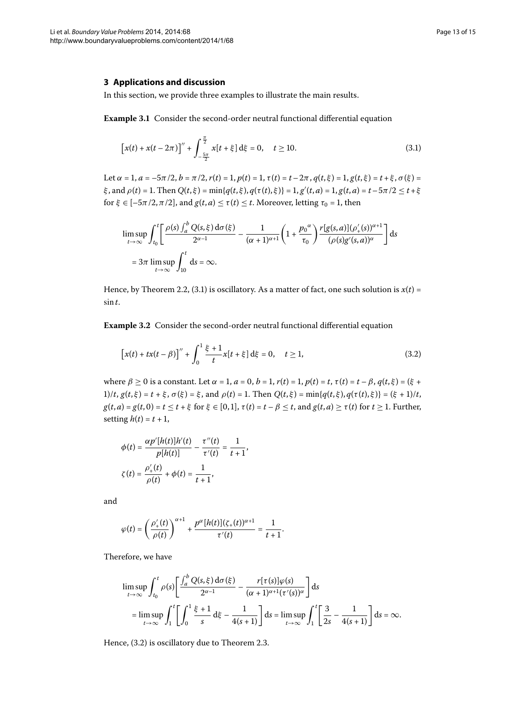### **3 Applications and discussion**

In this section, we provide three examples to illustrate the main results.

**Example 3.1** Consider the second-order neutral functional differential equation

<span id="page-12-0"></span>
$$
[x(t) + x(t - 2\pi)]'' + \int_{-\frac{5\pi}{2}}^{\frac{\pi}{2}} x[t + \xi] d\xi = 0, \quad t \ge 10.
$$
 (3.1)

Let  $\alpha = 1$ ,  $a = -5\pi/2$ ,  $b = \pi/2$ ,  $r(t) = 1$ ,  $p(t) = 1$ ,  $\tau(t) = t - 2\pi$ ,  $q(t, \xi) = 1$ ,  $g(t, \xi) = t + \xi$ ,  $\sigma(\xi) =$  $\xi$ , and  $\rho(t) = 1$ . Then  $Q(t, \xi) = \min\{q(t, \xi), q(\tau(t), \xi)\} = 1, g'(t, a) = 1, g(t, a) = t - 5\pi/2 \le t + \xi$ for  $\xi \in [-5\pi/2, \pi/2]$ , and  $g(t, a) \leq \tau(t) \leq t$ . Moreover, letting  $\tau_0 = 1$ , then

<span id="page-12-1"></span>
$$
\limsup_{t \to \infty} \int_{t_0}^t \left[ \frac{\rho(s) \int_a^b Q(s, \xi) d\sigma(\xi)}{2^{\alpha - 1}} - \frac{1}{(\alpha + 1)^{\alpha + 1}} \left( 1 + \frac{p_0^{\alpha}}{\tau_0} \right) \frac{r[g(s, a)] (\rho'_+(s))^{\alpha + 1}}{(\rho(s)g'(s, a))^{\alpha}} \right] ds
$$
  
=  $3\pi \limsup_{t \to \infty} \int_{10}^t ds = \infty.$ 

Hence, by Theorem 2.2, (3.1) is oscillatory. As a matter of fact, one such solution is  $x(t)$  = sin *t*.

**Example 3.2** Consider the second-order neutral functional differential equation

$$
[x(t) + tx(t-\beta)]'' + \int_0^1 \frac{\xi + 1}{t} x[t+\xi] d\xi = 0, \quad t \ge 1,
$$
\n(3.2)

 $\text{where } β ≥ 0 \text{ is a constant.}$  Let  $α = 1$ ,  $a = 0$ ,  $b = 1$ ,  $r(t) = 1$ ,  $p(t) = t$ ,  $τ(t) = t - β$ ,  $q(t, ξ) = (ξ + χ(t))$ 1)/t,  $g(t,\xi) = t + \xi$ ,  $\sigma(\xi) = \xi$ , and  $\rho(t) = 1$ . Then  $Q(t,\xi) = \min\{q(t,\xi), q(\tau(t),\xi)\} = (\xi + 1)/t$ ,  $g(t,a) = g(t,0) = t \le t + \xi$  for  $\xi \in [0,1]$ ,  $\tau(t) = t - \beta \le t$ , and  $g(t,a) \ge \tau(t)$  for  $t \ge 1$ . Further, setting  $h(t) = t + 1$ ,

$$
\phi(t) = \frac{\alpha p'[h(t)]h'(t)}{p[h(t)]} - \frac{\tau''(t)}{\tau'(t)} = \frac{1}{t+1},
$$

$$
\zeta(t) = \frac{\rho'_+(t)}{\rho(t)} + \phi(t) = \frac{1}{t+1},
$$

and

$$
\varphi(t) = \left(\frac{\rho'_+(t)}{\rho(t)}\right)^{\alpha+1} + \frac{p^{\alpha}[h(t)](\zeta_+(t))^{\alpha+1}}{\tau'(t)} = \frac{1}{t+1}.
$$

Therefore, we have

$$
\limsup_{t \to \infty} \int_{t_0}^t \rho(s) \left[ \frac{\int_a^b Q(s, \xi) d\sigma(\xi)}{2^{\alpha - 1}} - \frac{r[\tau(s)]\varphi(s)}{(\alpha + 1)^{\alpha + 1}(\tau'(s))^{\alpha}} \right] ds
$$
  
= 
$$
\limsup_{t \to \infty} \int_1^t \left[ \int_0^1 \frac{\xi + 1}{s} d\xi - \frac{1}{4(s + 1)} \right] ds = \limsup_{t \to \infty} \int_1^t \left[ \frac{3}{2s} - \frac{1}{4(s + 1)} \right] ds = \infty.
$$

Hence,  $(3.2)$  is oscillatory due to Theorem 2.3.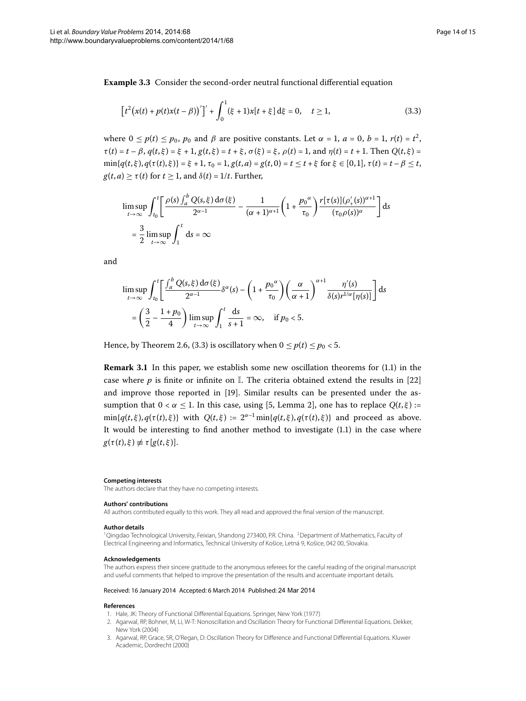**Example 3.3** Consider the second-order neutral functional differential equation

<span id="page-13-4"></span>
$$
\[t^2(x(t) + p(t)x(t-\beta))'\]' + \int_0^1 (\xi + 1)x[t+\xi] d\xi = 0, \quad t \ge 1,
$$
\n(3.3)

where  $0 \le p(t) \le p_0$ ,  $p_0$  and  $\beta$  are positive constants. Let  $\alpha = 1$ ,  $a = 0$ ,  $b = 1$ ,  $r(t) = t^2$ ,  $\tau(t) = t - \beta$ ,  $q(t, \xi) = \xi + 1$ ,  $g(t, \xi) = t + \xi$ ,  $\sigma(\xi) = \xi$ ,  $\rho(t) = 1$ , and  $\eta(t) = t + 1$ . Then  $Q(t, \xi) =$  $\min\{q(t,\xi), q(\tau(t),\xi)\} = \xi + 1, \tau_0 = 1, g(t,a) = g(t,0) = t \le t + \xi$  for  $\xi \in [0,1], \tau(t) = t - \beta \le t$ ,  $g(t, a) \geq \tau(t)$  for  $t \geq 1$ , and  $\delta(t) = 1/t$ . Further,

$$
\limsup_{t \to \infty} \int_{t_0}^t \left[ \frac{\rho(s) \int_a^b Q(s, \xi) d\sigma(\xi)}{2^{\alpha - 1}} - \frac{1}{(\alpha + 1)^{\alpha + 1}} \left( 1 + \frac{p_0^{\alpha}}{\tau_0} \right) \frac{r[\tau(s)] (\rho'_+(s))^{\alpha + 1}}{(\tau_0 \rho(s))^{\alpha}} \right] ds
$$
  
= 
$$
\frac{3}{2} \limsup_{t \to \infty} \int_1^t ds = \infty
$$

and

$$
\limsup_{t \to \infty} \int_{t_0}^t \left[ \frac{\int_a^b Q(s, \xi) d\sigma(\xi)}{2^{\alpha - 1}} \delta^{\alpha}(s) - \left( 1 + \frac{p_0^{\alpha}}{\tau_0} \right) \left( \frac{\alpha}{\alpha + 1} \right)^{\alpha + 1} \frac{\eta'(s)}{\delta(s) r^{1/\alpha} [\eta(s)]} \right] ds
$$
  
=  $\left( \frac{3}{2} - \frac{1 + p_0}{4} \right) \limsup_{t \to \infty} \int_1^t \frac{ds}{s + 1} = \infty$ , if  $p_0 < 5$ .

Hence, by Theorem 2.6, (3.3) is oscillatory when  $0 \le p(t) \le p_0 < 5$ .

**Remark 3[.](#page-0-1)1** In this paper, we establish some new oscillation theorems for (1.1) in the case where  $p$  is finite or infinite on  $\mathbb{I}$ . The criteria obtained extend the results in [22] and improve those reported in [19[\]](#page-14-14). Similar results can be presented under the assumption that  $0 < \alpha \leq 1$ . In this case, using [5, Lemma 2], one has to replace  $Q(t, \xi)$  :=  $\min\{q(t,\xi), q(\tau(t),\xi)\}\$  with  $Q(t,\xi) := 2^{\alpha-1}\min\{q(t,\xi), q(\tau(t),\xi)\}\$  and proceed as above. It would be interesting to find another method to investigate  $(1.1)$  $(1.1)$  $(1.1)$  in the case where  $g(\tau(t), \xi) \neq \tau[g(t, \xi)].$ 

#### <span id="page-13-1"></span><span id="page-13-0"></span>**Competing interests**

The authors declare that they have no competing interests.

#### **Authors' contributions**

All authors contributed equally to this work. They all read and approved the final version of the manuscript.

#### **Author details**

<span id="page-13-3"></span><span id="page-13-2"></span><sup>1</sup>Qingdao Technological University, Feixian, Shandong 273400, P.R. China. <sup>2</sup>Department of Mathematics, Faculty of Electrical Engineering and Informatics, Technical University of Košice, Letná 9, Košice, 042 00, Slovakia.

#### **Acknowledgements**

The authors express their sincere gratitude to the anonymous referees for the careful reading of the original manuscript and useful comments that helped to improve the presentation of the results and accentuate important details.

#### Received: 16 January 2014 Accepted: 6 March 2014 Published: 24 Mar 2014

#### **References**

- 1. Hale, JK: Theory of Functional Differential Equations. Springer, New York (1977)
- 2. Agarwal, RP, Bohner, M, Li, W-T: Nonoscillation and Oscillation Theory for Functional Differential Equations. Dekker, New York (2004)
- 3. Agarwal, RP, Grace, SR, O'Regan, D: Oscillation Theory for Difference and Functional Differential Equations. Kluwer Academic, Dordrecht (2000)